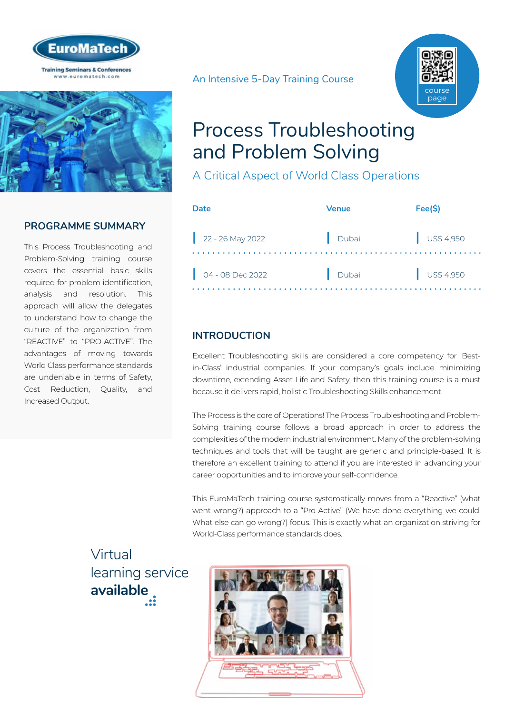



## **PROGRAMME SUMMARY**

This Process Troubleshooting and Problem-Solving training course covers the essential basic skills required for problem identification, analysis and resolution. This approach will allow the delegates to understand how to change the culture of the organization from "REACTIVE" to "PRO-ACTIVE". The advantages of moving towards World Class performance standards are undeniable in terms of Safety, Cost Reduction, Quality, and Increased Output.

### An Intensive 5-Day Training Course



# Process Troubleshooting and Problem Solving

A Critical Aspect of World Class Operations

| Date               | Venue | Fee(S)               |
|--------------------|-------|----------------------|
| $22 - 26$ May 2022 | Dubai | $\bigcup$ US\$ 4,950 |
| $04 - 08$ Dec 2022 | Dubai | $\bigcup$ US\$ 4,950 |

# **INTRODUCTION**

Excellent Troubleshooting skills are considered a core competency for 'Bestin-Class' industrial companies. If your company's goals include minimizing downtime, extending Asset Life and Safety, then this training course is a must because it delivers rapid, holistic Troubleshooting Skills enhancement.

The Process is the core of Operations! The Process Troubleshooting and Problem-Solving training course follows a broad approach in order to address the complexities of the modern industrial environment. Many of the problem-solving techniques and tools that will be taught are generic and principle-based. It is therefore an excellent training to attend if you are interested in advancing your career opportunities and to improve your self-confidence.

This EuroMaTech training course systematically moves from a "Reactive" (what went wrong?) approach to a "Pro-Active" (We have done everything we could. What else can go wrong?) focus. This is exactly what an organization striving for World-Class performance standards does.

# Virtual [learning service](https://www.euromatech.com/seminars/process-troubleshooting-an-problem-solving-1/)  **available**

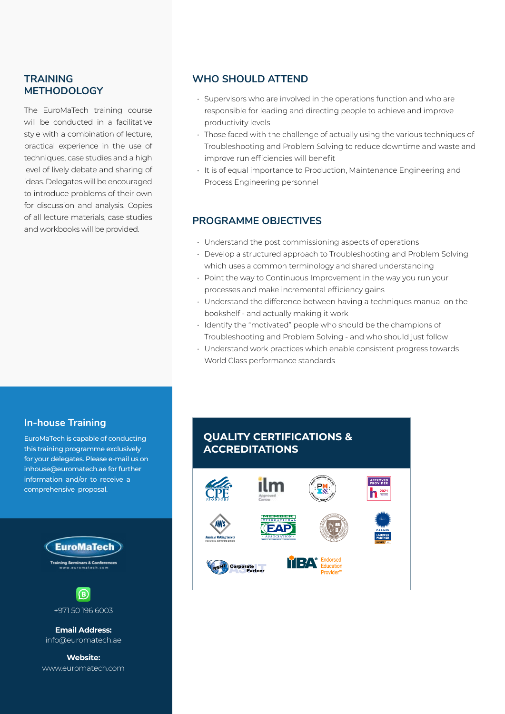### **TRAINING METHODOLOGY**

The EuroMaTech training course will be conducted in a facilitative style with a combination of lecture, practical experience in the use of techniques, case studies and a high level of lively debate and sharing of ideas. Delegates will be encouraged to introduce problems of their own for discussion and analysis. Copies of all lecture materials, case studies and workbooks will be provided.

#### **WHO SHOULD ATTEND**

- Supervisors who are involved in the operations function and who are responsible for leading and directing people to achieve and improve productivity levels
- Those faced with the challenge of actually using the various techniques of Troubleshooting and Problem Solving to reduce downtime and waste and improve run efficiencies will benefit
- It is of equal importance to Production, Maintenance Engineering and Process Engineering personnel

#### **PROGRAMME OBJECTIVES**

- Understand the post commissioning aspects of operations
- Develop a structured approach to Troubleshooting and Problem Solving which uses a common terminology and shared understanding
- Point the way to Continuous Improvement in the way you run your processes and make incremental efficiency gains
- Understand the difference between having a techniques manual on the bookshelf - and actually making it work
- Identify the "motivated" people who should be the champions of Troubleshooting and Problem Solving - and who should just follow
- Understand work practices which enable consistent progress towards World Class performance standards

#### **In-house Training**

EuroMaTech is capable of conducting this training programme exclusively for your delegates. Please e-mail us on inhouse@euromatech.ae for further information and/or to receive a comprehensive proposal.



# **QUALITY CERTIFICATIONS & ACCREDITATIONS**

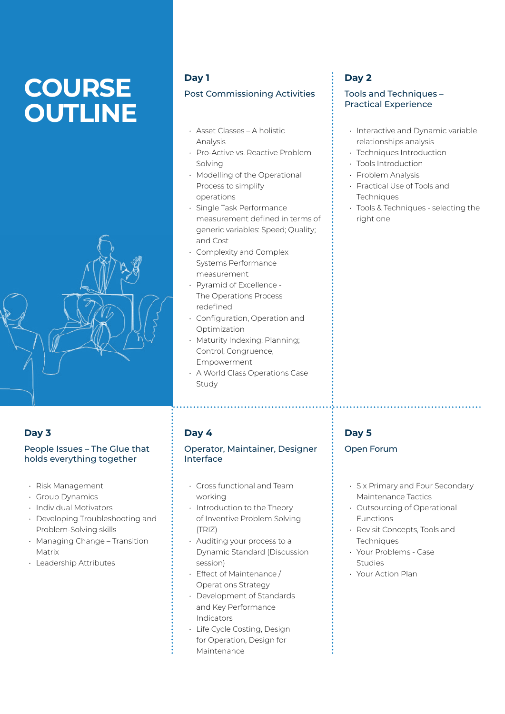# **COURSE OUTLINE**



### **Day 1**

#### Post Commissioning Activities

- Asset Classes A holistic Analysis
- Pro-Active vs. Reactive Problem Solving
- Modelling of the Operational Process to simplify operations
- Single Task Performance measurement defined in terms of generic variables: Speed; Quality; and Cost
- Complexity and Complex Systems Performance measurement
- Pyramid of Excellence The Operations Process redefined
- Configuration, Operation and Optimization
- Maturity Indexing: Planning; Control, Congruence, Empowerment
- A World Class Operations Case Study

## **Day 3**

#### People Issues – The Glue that holds everything together

- Risk Management
- Group Dynamics
- Individual Motivators
- Developing Troubleshooting and Problem-Solving skills
- Managing Change Transition Matrix
- Leadership Attributes

# **Day 4**

#### Operator, Maintainer, Designer Interface

- Cross functional and Team working
- Introduction to the Theory of Inventive Problem Solving (TRIZ)
- Auditing your process to a Dynamic Standard (Discussion session)
- Effect of Maintenance / Operations Strategy
- Development of Standards and Key Performance Indicators
- Life Cycle Costing, Design for Operation, Design for Maintenance

# **Day 2**

#### Tools and Techniques – Practical Experience

- Interactive and Dynamic variable relationships analysis
- Techniques Introduction
- Tools Introduction
- Problem Analysis
- Practical Use of Tools and **Techniques**
- Tools & Techniques selecting the right one

# **Day 5**

### Open Forum

- Six Primary and Four Secondary Maintenance Tactics
- Outsourcing of Operational Functions
- Revisit Concepts, Tools and **Techniques**
- Your Problems Case Studies
- Your Action Plan